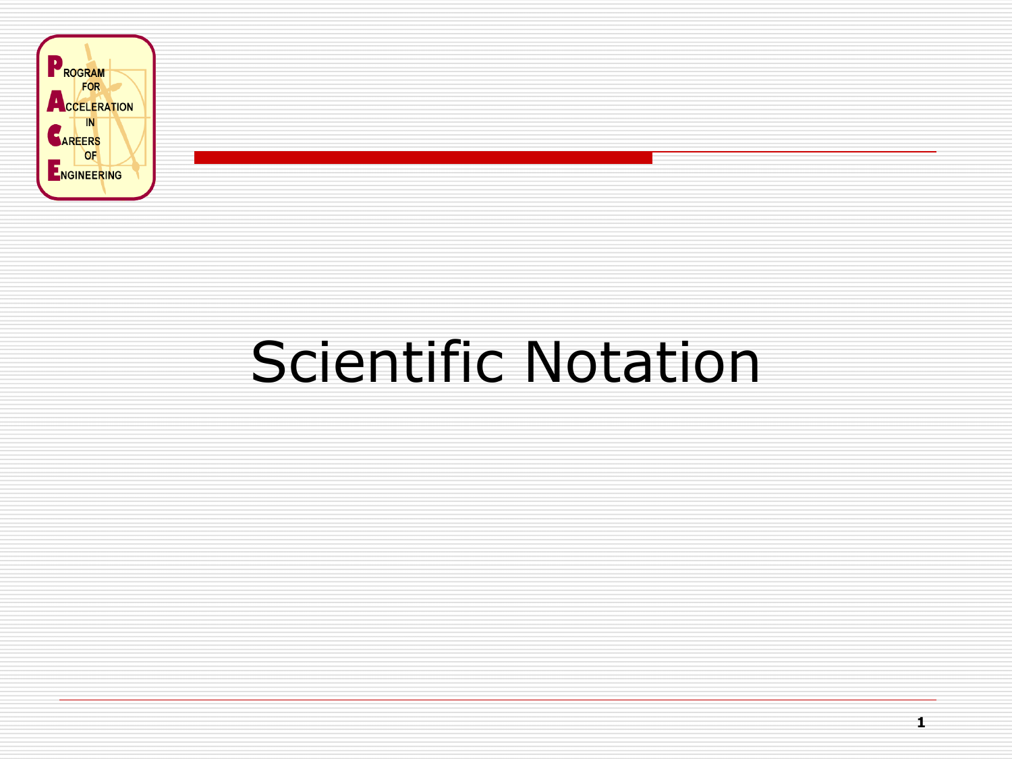

# Scientific Notation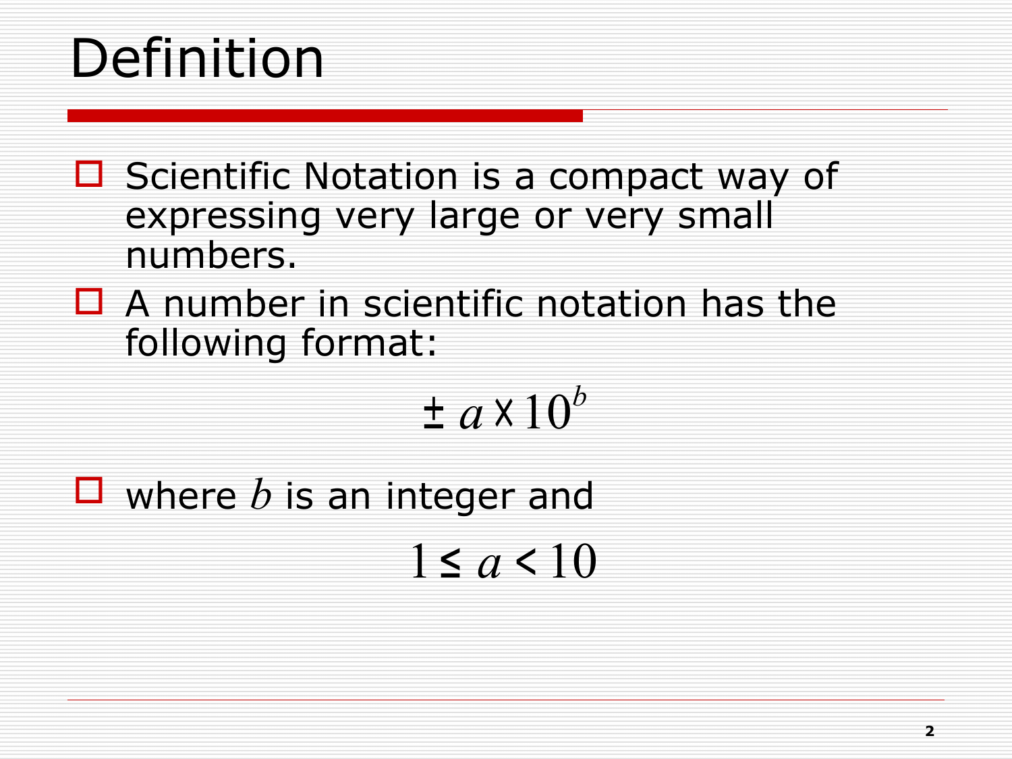# Definition

- $\Box$  Scientific Notation is a compact way of expressing very large or very small numbers.
- $\Box$  A number in scientific notation has the following format:

 $\pm$   $a$ x  $10^b$ 

 $\Box$  where  $b$  is an integer and

 $1 \le a < 10$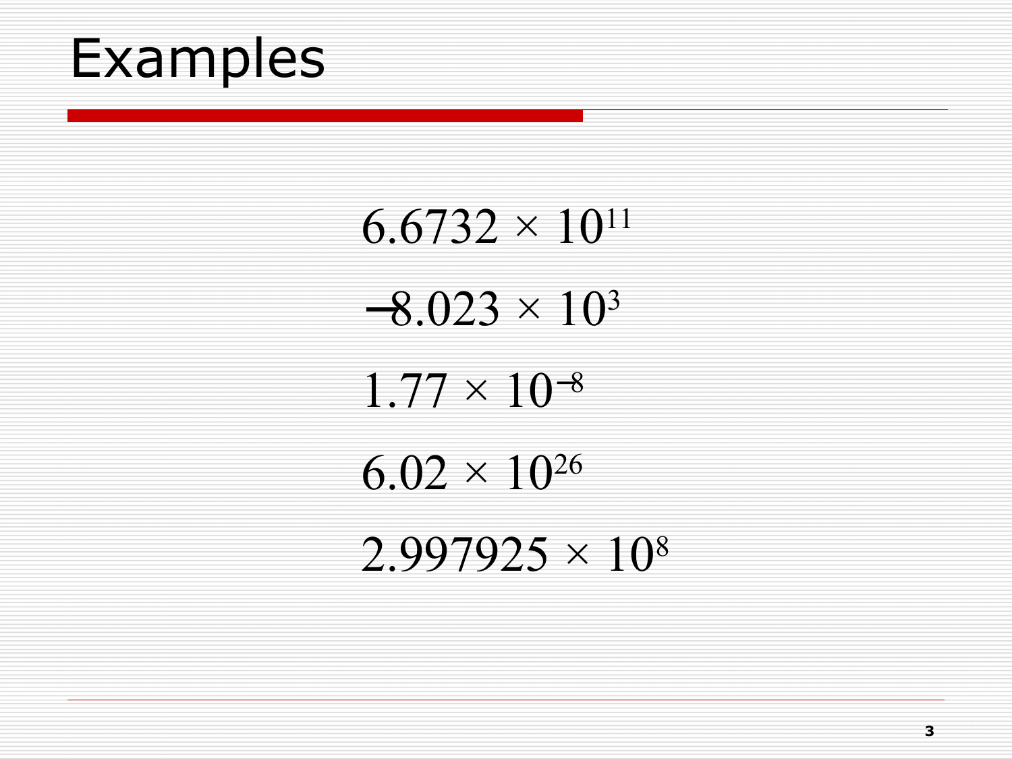

 $6.6732 \times 10^{11}$  $-8.023 \times 10^{3}$  $1.77 \times 10^{-8}$  $6.02 \times 10^{26}$  $2.997925 \times 10^8$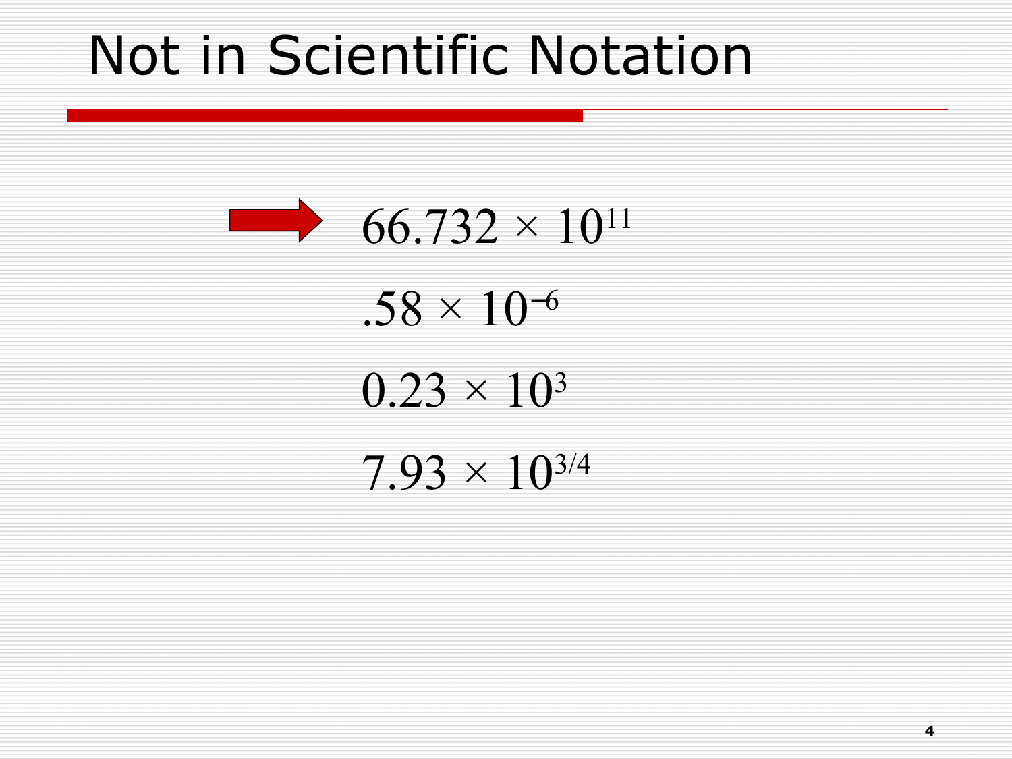### Not in Scientific Notation

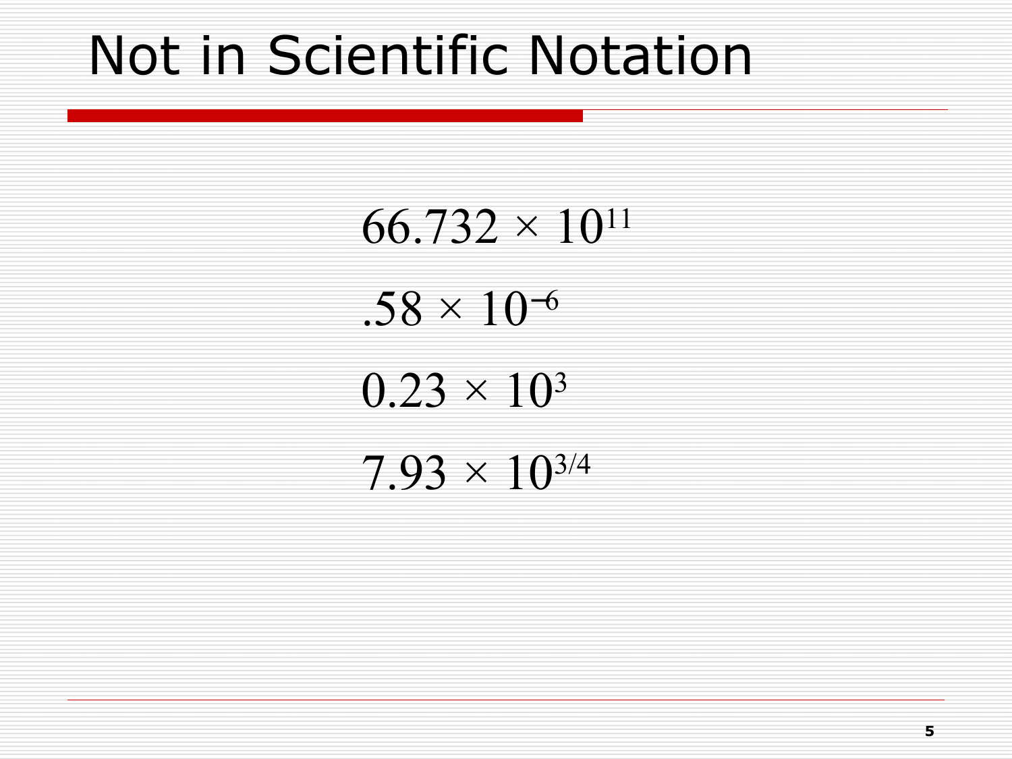### Not in Scientific Notation

 $66.732 \times 10^{11}$  $.58 \times 10^{-6}$  $0.23 \times 10^{3}$ 

 $7.93 \times 10^{3/4}$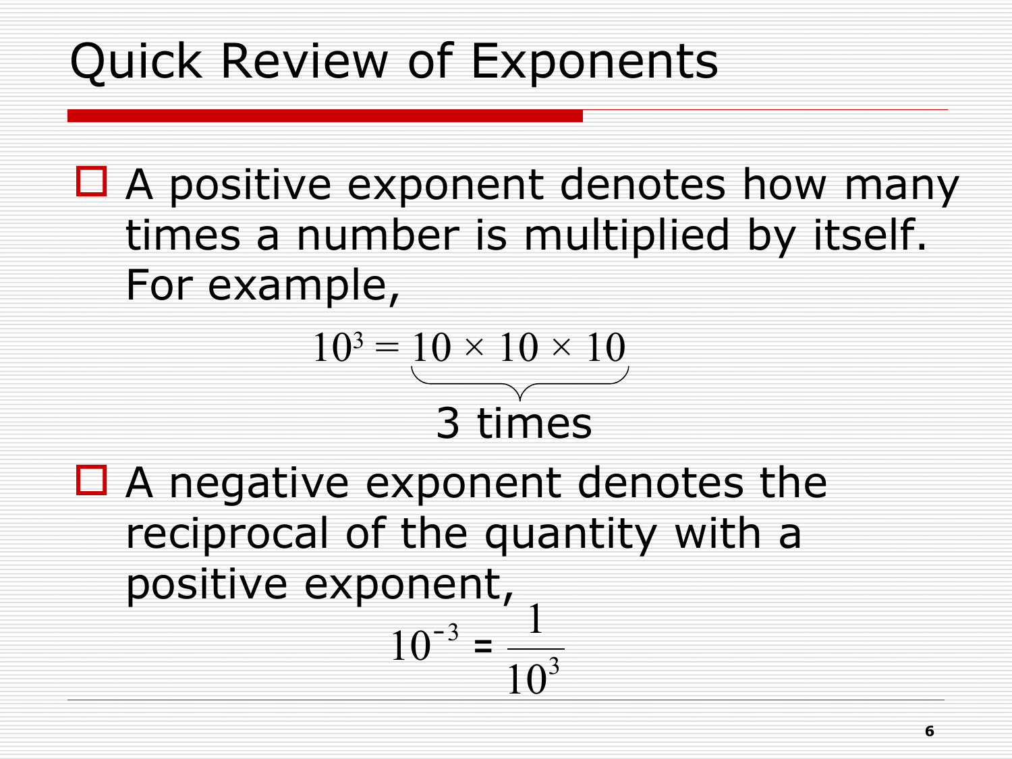### Quick Review of Exponents

 $\Box$  A positive exponent denotes how many times a number is multiplied by itself. For example,

$$
103 = 10 \times 10 \times 10
$$
  
**3 times**

 $\Box$  A negative exponent denotes the reciprocal of the quantity with a positive exponent, 3 3 10 1  $10^{-3}$  =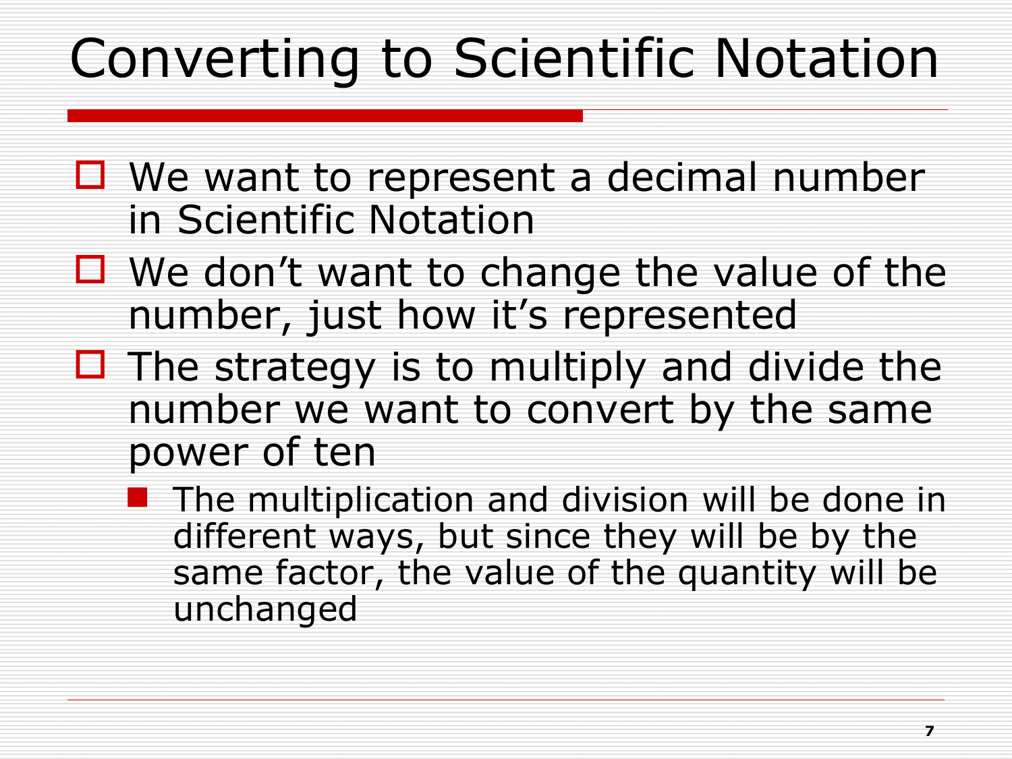## Converting to Scientific Notation

- $\Box$  We want to represent a decimal number in Scientific Notation
- $\Box$  We don't want to change the value of the number, just how it's represented
- $\Box$  The strategy is to multiply and divide the number we want to convert by the same power of ten
	- $\blacksquare$  The multiplication and division will be done in different ways, but since they will be by the same factor, the value of the quantity will be unchanged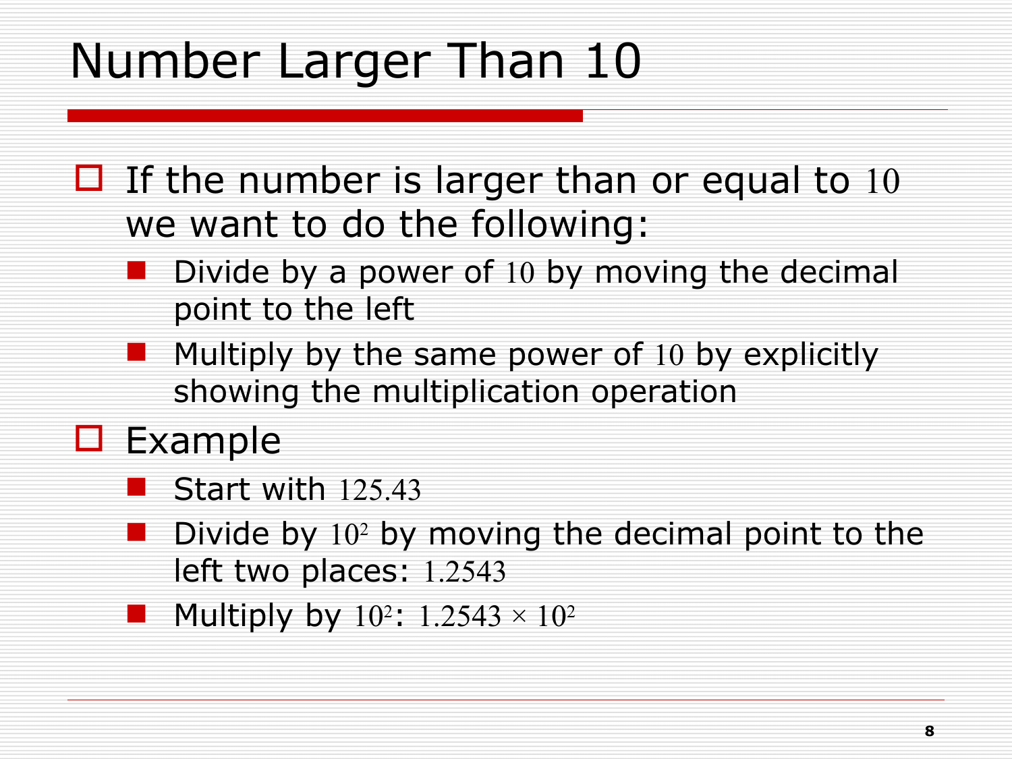### Number Larger Than 10

- $\Box$  If the number is larger than or equal to 10 we want to do the following:
	- Divide by a power of 10 by moving the decimal point to the left
	- $\blacksquare$  Multiply by the same power of 10 by explicitly showing the multiplication operation
- $\square$  Example
	- Start with 125.43
	- **Divide by**  $10<sup>2</sup>$  by moving the decimal point to the left two places: 1.2543
	- Multiply by  $10^2$ :  $1.2543 \times 10^2$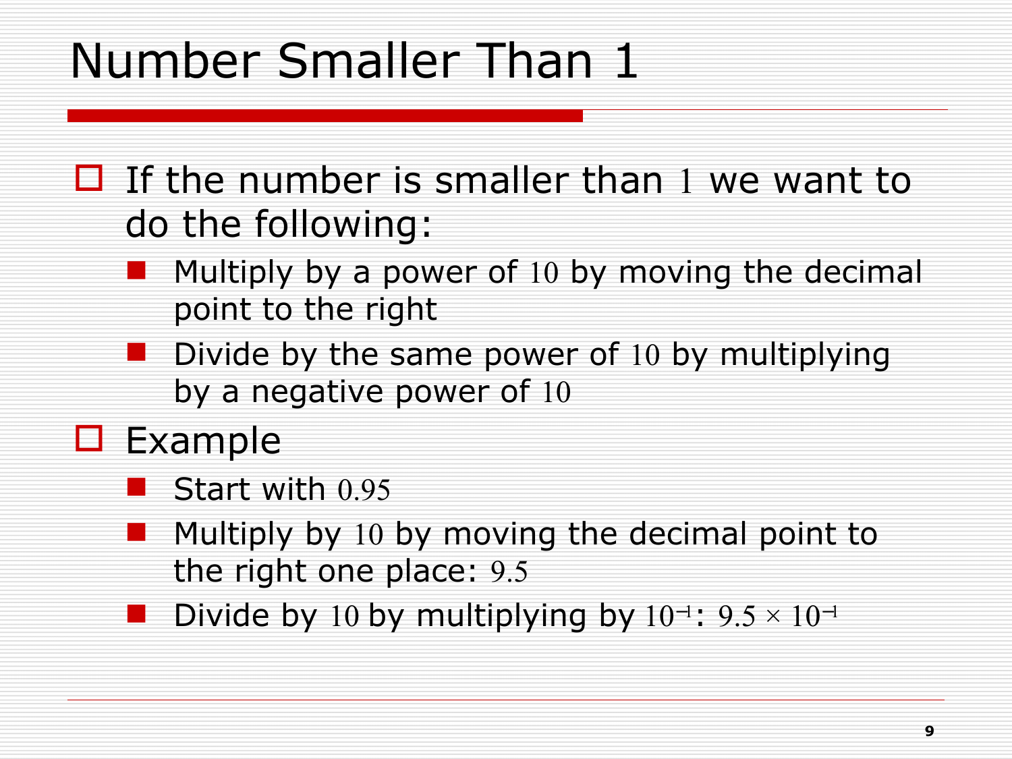### Number Smaller Than 1

- $\Box$  If the number is smaller than 1 we want to do the following:
	- Multiply by a power of 10 by moving the decimal point to the right
	- Divide by the same power of 10 by multiplying by a negative power of 10
- $\square$  Example
	- Start with 0.95
	- Multiply by 10 by moving the decimal point to the right one place: 9.5
	- Divide by 10 by multiplying by  $10^{-1}$ :  $9.5 \times 10^{-1}$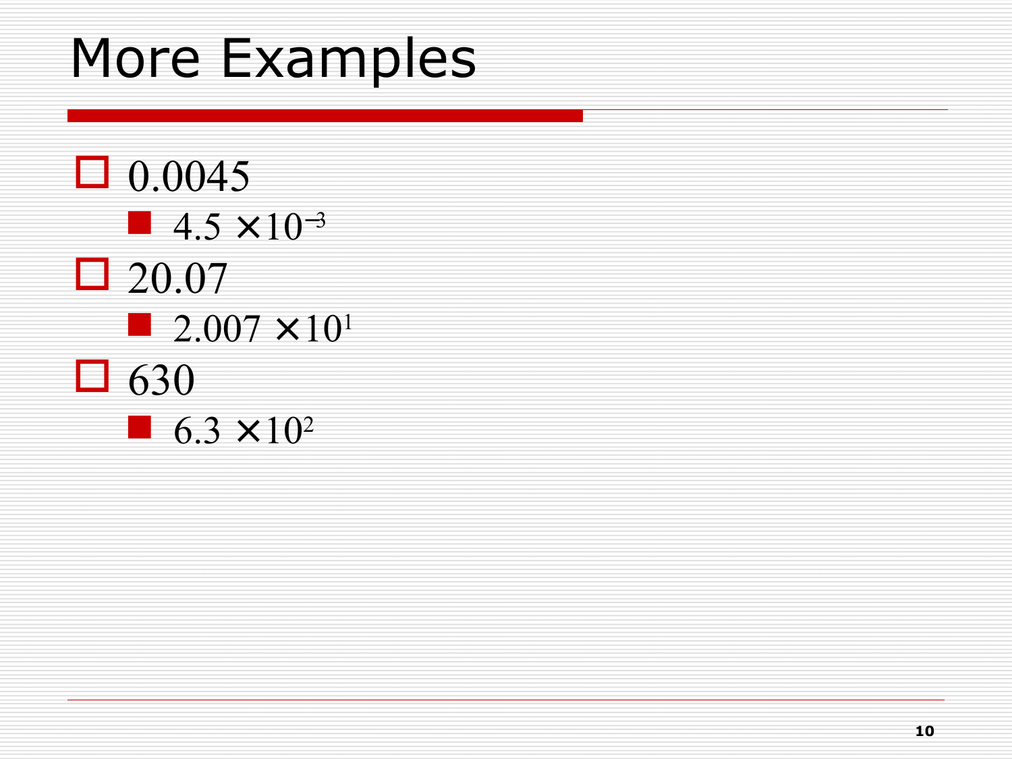## More Examples

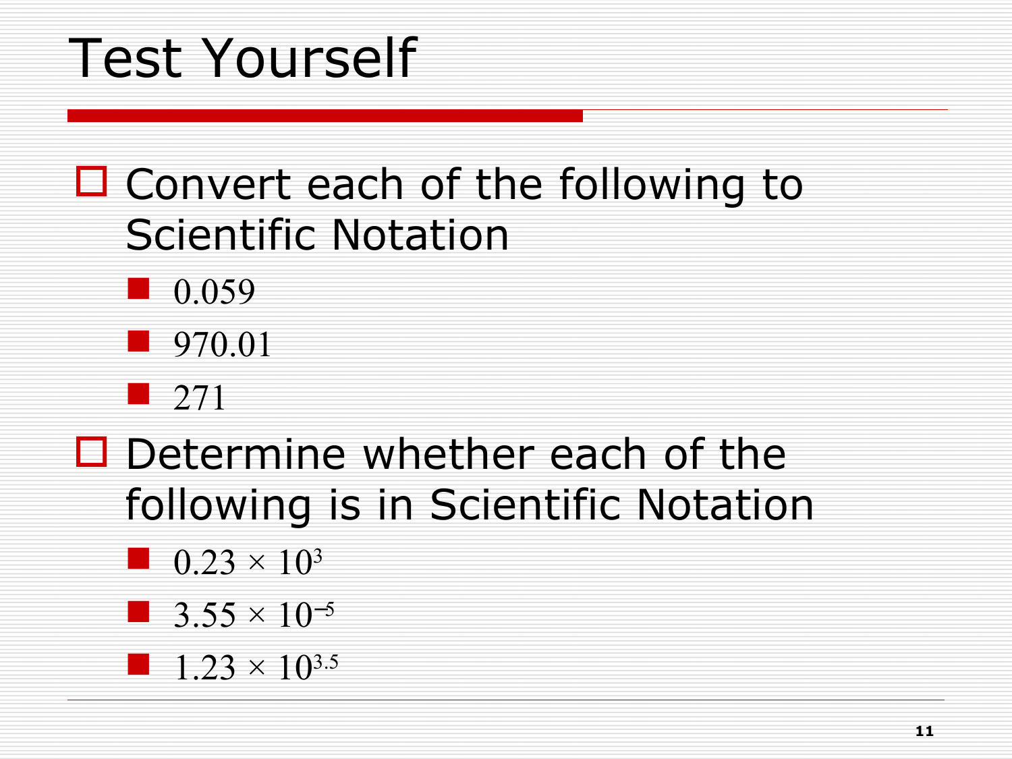# Test Yourself

#### $\Box$  Convert each of the following to Scientific Notation







#### $\square$  Determine whether each of the following is in Scientific Notation

- $\blacksquare$  0.23  $\times$  10<sup>3</sup>
- **3.55**  $\times$  10<sup>-5</sup>
- $1.23 \times 10^{3.5}$